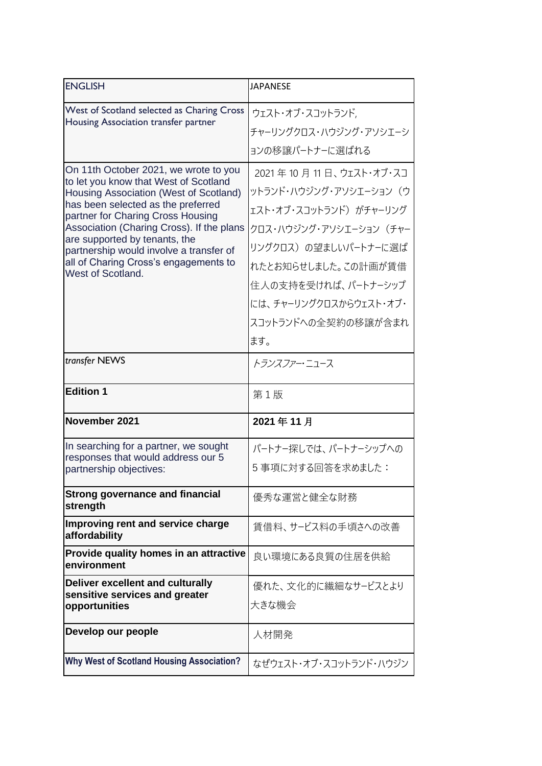| <b>ENGLISH</b>                                                                                                                                                                                      | JAPANESE                                                                    |
|-----------------------------------------------------------------------------------------------------------------------------------------------------------------------------------------------------|-----------------------------------------------------------------------------|
| West of Scotland selected as Charing Cross                                                                                                                                                          | ウェスト・オブ・スコットランド,                                                            |
| Housing Association transfer partner                                                                                                                                                                | チャーリングクロス・ハウジング・アソシエーシ                                                      |
|                                                                                                                                                                                                     | ョンの移譲パートナーに選ばれる                                                             |
| On 11th October 2021, we wrote to you<br>to let you know that West of Scotland<br>Housing Association (West of Scotland)<br>has been selected as the preferred<br>partner for Charing Cross Housing | 2021年10月11日、ウェスト・オブ・スコ<br>ットランド・ハウジング・アソシエーション(ウ<br>ェスト・オブ・スコットランド) がチャーリング |
| Association (Charing Cross). If the plans                                                                                                                                                           | クロス・ハウジング・アソシエーション (チャー                                                     |
| are supported by tenants, the<br>partnership would involve a transfer of                                                                                                                            | リングクロス)の望ましいパートナーに選ば                                                        |
| all of Charing Cross's engagements to<br>West of Scotland.                                                                                                                                          | れたとお知らせしました。この計画が賃借                                                         |
|                                                                                                                                                                                                     | 住人の支持を受ければ、パートナーシップ                                                         |
|                                                                                                                                                                                                     | には、チャーリングクロスからウェスト・オブ・                                                      |
|                                                                                                                                                                                                     | スコットランドへの全契約の移譲が含まれ                                                         |
|                                                                                                                                                                                                     | ます。                                                                         |
| transfer NEWS                                                                                                                                                                                       | <i>トランスファ</i> ー・ニュース                                                        |
| <b>Edition 1</b>                                                                                                                                                                                    | 第1版                                                                         |
| November 2021                                                                                                                                                                                       | 2021年11月                                                                    |
| In searching for a partner, we sought<br>responses that would address our 5                                                                                                                         | パートナー探しでは、パートナーシップへの                                                        |
| partnership objectives:                                                                                                                                                                             | 5事項に対する回答を求めました:                                                            |
| <b>Strong governance and financial</b><br>strength                                                                                                                                                  | 優秀な運営と健全な財務                                                                 |
| Improving rent and service charge<br>affordability                                                                                                                                                  | 賃借料、サービス料の手頃さへの改善                                                           |
| Provide quality homes in an attractive<br>environment                                                                                                                                               | 良い環境にある良質の住居を供給                                                             |
| Deliver excellent and culturally<br>sensitive services and greater<br>opportunities                                                                                                                 | 優れた、文化的に繊細なサービスとより<br>大きな機会                                                 |
| Develop our people                                                                                                                                                                                  | 人材開発                                                                        |
| <b>Why West of Scotland Housing Association?</b>                                                                                                                                                    | なぜウェスト・オブ・スコットランド・ハウジン                                                      |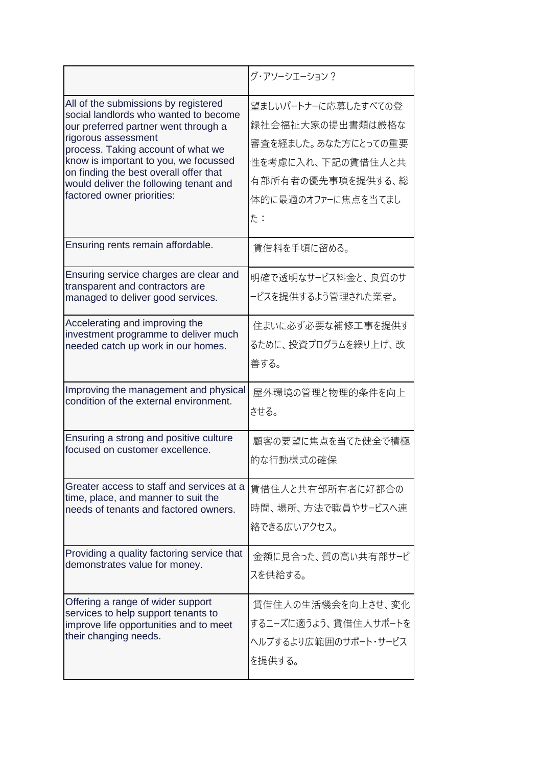|                                                                                                                                                                                                                                                                                                                                               | グ・アソーシエーション?                                                                                                                         |
|-----------------------------------------------------------------------------------------------------------------------------------------------------------------------------------------------------------------------------------------------------------------------------------------------------------------------------------------------|--------------------------------------------------------------------------------------------------------------------------------------|
| All of the submissions by registered<br>social landlords who wanted to become<br>our preferred partner went through a<br>rigorous assessment<br>process. Taking account of what we<br>know is important to you, we focussed<br>on finding the best overall offer that<br>would deliver the following tenant and<br>factored owner priorities: | 望ましいパートナーに応募したすべての登<br>録社会福祉大家の提出書類は厳格な<br>審査を経ました。あなた方にとっての重要<br>性を考慮に入れ、下記の賃借住人と共<br>有部所有者の優先事項を提供する、総<br>体的に最適のオファーに焦点を当てまし<br>た: |
| Ensuring rents remain affordable.                                                                                                                                                                                                                                                                                                             | 賃借料を手頃に留める。                                                                                                                          |
| Ensuring service charges are clear and<br>transparent and contractors are<br>managed to deliver good services.                                                                                                                                                                                                                                | 明確で透明なサービス料金と、良質のサ<br>-ビスを提供するよう管理された業者。                                                                                             |
| Accelerating and improving the                                                                                                                                                                                                                                                                                                                | 住まいに必ず必要な補修工事を提供す                                                                                                                    |
| investment programme to deliver much                                                                                                                                                                                                                                                                                                          | るために、投資プログラムを繰り上げ、改                                                                                                                  |
| needed catch up work in our homes.                                                                                                                                                                                                                                                                                                            | 善する。                                                                                                                                 |
| Improving the management and physical                                                                                                                                                                                                                                                                                                         | 屋外環境の管理と物理的条件を向上                                                                                                                     |
| condition of the external environment.                                                                                                                                                                                                                                                                                                        | させる。                                                                                                                                 |
| Ensuring a strong and positive culture                                                                                                                                                                                                                                                                                                        | 顧客の要望に焦点を当てた健全で積極                                                                                                                    |
| focused on customer excellence.                                                                                                                                                                                                                                                                                                               | 的な行動様式の確保                                                                                                                            |
| Greater access to staff and services at a                                                                                                                                                                                                                                                                                                     | 賃借住人と共有部所有者に好都合の                                                                                                                     |
| time, place, and manner to suit the                                                                                                                                                                                                                                                                                                           | 時間、場所、方法で職員やサービスへ連                                                                                                                   |
| needs of tenants and factored owners.                                                                                                                                                                                                                                                                                                         | 絡できる広いアクセス。                                                                                                                          |
| Providing a quality factoring service that                                                                                                                                                                                                                                                                                                    | 金額に見合った、質の高い共有部サービ                                                                                                                   |
| demonstrates value for money.                                                                                                                                                                                                                                                                                                                 | スを供給する。                                                                                                                              |
| Offering a range of wider support                                                                                                                                                                                                                                                                                                             | 賃借住人の生活機会を向上させ、変化                                                                                                                    |
| services to help support tenants to                                                                                                                                                                                                                                                                                                           | するニーズに適うよう、 賃借住人サポートを                                                                                                                |
| improve life opportunities and to meet                                                                                                                                                                                                                                                                                                        | ヘルプするより広範囲のサポート・サービス                                                                                                                 |
| their changing needs.                                                                                                                                                                                                                                                                                                                         | を提供する。                                                                                                                               |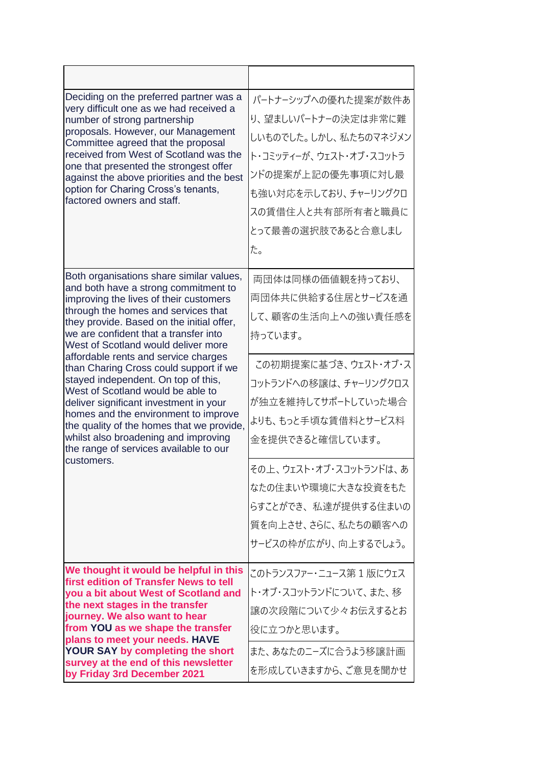| Deciding on the preferred partner was a<br>very difficult one as we had received a<br>number of strong partnership<br>proposals. However, our Management<br>Committee agreed that the proposal<br>received from West of Scotland was the<br>one that presented the strongest offer<br>against the above priorities and the best<br>option for Charing Cross's tenants,<br>factored owners and staff.                                                                                                                                                                                                                                                                                        | パートナーシップへの優れた提案が数件あ<br>り、望ましいパートナーの決定は非常に難<br>しいものでした。しかし、私たちのマネジメン<br>ト・コミッティーが、ウェスト・オブ・スコットラ<br>ンドの提案が上記の優先事項に対し最<br>も強い対応を示しており、 チャーリングクロ<br>スの賃借住人と共有部所有者と職員に<br>とって最善の選択肢であると合意しまし<br>た。                                                                                                                     |
|---------------------------------------------------------------------------------------------------------------------------------------------------------------------------------------------------------------------------------------------------------------------------------------------------------------------------------------------------------------------------------------------------------------------------------------------------------------------------------------------------------------------------------------------------------------------------------------------------------------------------------------------------------------------------------------------|-------------------------------------------------------------------------------------------------------------------------------------------------------------------------------------------------------------------------------------------------------------------------------------------------------------------|
| Both organisations share similar values,<br>and both have a strong commitment to<br>improving the lives of their customers<br>through the homes and services that<br>they provide. Based on the initial offer,<br>we are confident that a transfer into<br>West of Scotland would deliver more<br>affordable rents and service charges<br>than Charing Cross could support if we<br>stayed independent. On top of this,<br>West of Scotland would be able to<br>deliver significant investment in your<br>homes and the environment to improve<br>the quality of the homes that we provide,<br>whilst also broadening and improving<br>the range of services available to our<br>customers. | 両団体は同様の価値観を持っており、<br>両団体共に供給する住居とサービスを通<br>して、顧客の生活向上への強い責任感を<br>持っています。<br>この初期提案に基づき、ウェスト・オブ・ス<br>コットランドへの移譲は、チャーリングクロス<br>が独立を維持してサポートしていった場合<br>よりも、もっと手頃な賃借料とサービス料<br>金を提供できると確信しています。<br>その上、ウェスト・オブ・スコットランドは、あ<br>なたの住まいや環境に大きな投資をもた<br>らすことができ、私達が提供する住まいの<br>質を向上させ、さらに、私たちの顧客への<br>サービスの枠が広がり、向上するでしょう。 |
| We thought it would be helpful in this<br>first edition of Transfer News to tell<br>you a bit about West of Scotland and<br>the next stages in the transfer<br>journey. We also want to hear<br>from YOU as we shape the transfer<br>plans to meet your needs. HAVE<br>YOUR SAY by completing the short<br>survey at the end of this newsletter<br>by Friday 3rd December 2021                                                                                                                                                                                                                                                                                                              | このトランスファー・ニュース第 1 版にウェス<br>ト・オブ・スコットランドについて、また、 移<br>譲の次段階について少々お伝えするとお<br>役に立つかと思います。<br>また、あなたのニーズに合うよう移譲計画<br>を形成していきますから、ご意見を聞かせ                                                                                                                                                                              |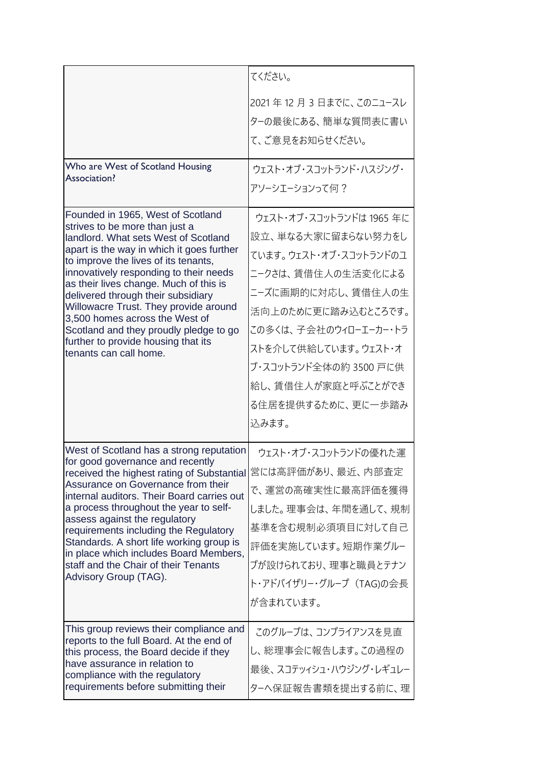|                                                                                                                                                                                                                                                                                                                                                                                                                                                                                                                  | てください。                                                                                                                                                                                                                                                                      |
|------------------------------------------------------------------------------------------------------------------------------------------------------------------------------------------------------------------------------------------------------------------------------------------------------------------------------------------------------------------------------------------------------------------------------------------------------------------------------------------------------------------|-----------------------------------------------------------------------------------------------------------------------------------------------------------------------------------------------------------------------------------------------------------------------------|
|                                                                                                                                                                                                                                                                                                                                                                                                                                                                                                                  | 2021年12月3日までに、このニュースレ<br>ターの最後にある、簡単な質問表に書い<br>て、ご意見をお知らせください。                                                                                                                                                                                                              |
| Who are West of Scotland Housing<br>Association?                                                                                                                                                                                                                                                                                                                                                                                                                                                                 | ウェスト・オブ・スコットランド・ハスジング・<br>アソーシエーションって何?                                                                                                                                                                                                                                     |
| Founded in 1965, West of Scotland<br>strives to be more than just a<br>landlord. What sets West of Scotland<br>apart is the way in which it goes further<br>to improve the lives of its tenants,<br>innovatively responding to their needs<br>as their lives change. Much of this is<br>delivered through their subsidiary<br>Willowacre Trust. They provide around<br>3,500 homes across the West of<br>Scotland and they proudly pledge to go<br>further to provide housing that its<br>tenants can call home. | ウェスト・オブ・スコットランドは 1965 年に<br>設立、単なる大家に留まらない努力をし<br>ています。ウェスト・オブ・スコットランドのユ<br>ニークさは、賃借住人の生活変化による<br>ニーズに画期的に対応し、賃借住人の生<br>活向上のために更に踏み込むところです。<br>この多くは、子会社のウィローエーカー・トラ<br>ストを介して供給しています。ウェスト・オ<br>ブ・スコットランド全体の約 3500 戸に供<br>給し、賃借住人が家庭と呼ぶことができ<br>る住居を提供するために、更に一歩踏み<br>込みます。 |
| West of Scotland has a strong reputation<br>for good governance and recently<br>received the highest rating of Substantial 営には高評価があり、最近、内部査定<br>Assurance on Governance from their<br>internal auditors. Their Board carries out<br>a process throughout the year to self-<br>assess against the regulatory<br>requirements including the Regulatory<br>Standards. A short life working group is<br>in place which includes Board Members,<br>staff and the Chair of their Tenants<br>Advisory Group (TAG).      | ウェスト・オブ・スコットランドの優れた運<br>で、運営の高確実性に最高評価を獲得<br>しました。理事会は、年間を通して、規制<br>基準を含む規制必須項目に対して自己<br>評価を実施しています。短期作業グルー<br>プが設けられており、理事と職員とテナン<br>ト・アドバイザリー・グループ (TAG)の会長<br>が含まれています。                                                                                                  |
| This group reviews their compliance and<br>reports to the full Board. At the end of<br>this process, the Board decide if they<br>have assurance in relation to<br>compliance with the regulatory<br>requirements before submitting their                                                                                                                                                                                                                                                                         | このグループは、コンプライアンスを見直<br>し、総理事会に報告します。この過程の<br>最後、スコテッィシュ・ハウジング・レギュレー<br>ターへ保証報告書類を提出する前に、理                                                                                                                                                                                   |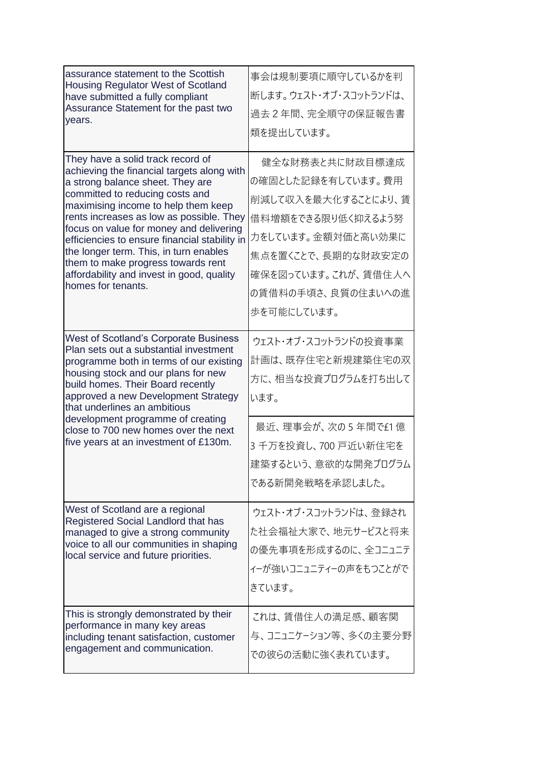| assurance statement to the Scottish<br>Housing Regulator West of Scotland<br>have submitted a fully compliant<br>Assurance Statement for the past two<br>years.                                                                                                                                                                                                                                                                                                                          | 事会は規制要項に順守しているかを判<br>断します。ウェスト・オブ・スコットランドは、<br>過去2年間、完全順守の保証報告書<br>類を提出しています。                                                                                                              |
|------------------------------------------------------------------------------------------------------------------------------------------------------------------------------------------------------------------------------------------------------------------------------------------------------------------------------------------------------------------------------------------------------------------------------------------------------------------------------------------|--------------------------------------------------------------------------------------------------------------------------------------------------------------------------------------------|
| They have a solid track record of<br>achieving the financial targets along with<br>a strong balance sheet. They are<br>committed to reducing costs and<br>maximising income to help them keep<br>rents increases as low as possible. They<br>focus on value for money and delivering<br>efficiencies to ensure financial stability in<br>the longer term. This, in turn enables<br>them to make progress towards rent<br>affordability and invest in good, quality<br>homes for tenants. | 健全な財務表と共に財政目標達成<br>の確固とした記録を有しています。費用<br>削減して収入を最大化することにより、賃<br>借料増額をできる限り低く抑えるよう努<br>力をしています。金額対価と高い効果に<br>焦点を置くことで、長期的な財政安定の<br>確保を図っています。これが、賃借住人へ<br>の賃借料の手頃さ、良質の住まいへの進<br>歩を可能にしています。 |
| <b>West of Scotland's Corporate Business</b><br>Plan sets out a substantial investment<br>programme both in terms of our existing<br>housing stock and our plans for new<br>build homes. Their Board recently<br>approved a new Development Strategy<br>that underlines an ambitious<br>development programme of creating<br>close to 700 new homes over the next<br>five years at an investment of £130m.                                                                               | ウェスト・オブ・スコットランドの投資事業<br>計画は、既存住宅と新規建築住宅の双<br>方に、相当な投資プログラムを打ち出して<br>います。<br>最近、理事会が、次の5年間で£1億<br>3千万を投資し、700 戸近い新住宅を<br>建築するという、意欲的な開発プログラム<br>である新開発戦略を承認しました。                            |
| West of Scotland are a regional<br>Registered Social Landlord that has<br>managed to give a strong community<br>voice to all our communities in shaping<br>local service and future priorities.                                                                                                                                                                                                                                                                                          | ウェスト・オブ・スコットランドは、 登録され<br>た社会福祉大家で、地元サービスと将来<br>の優先事項を形成するのに、全コニュニテ<br>ィーが強いコニュニティーの声をもつことがで<br>きています。                                                                                     |
| This is strongly demonstrated by their<br>performance in many key areas<br>including tenant satisfaction, customer<br>engagement and communication.                                                                                                                                                                                                                                                                                                                                      | これは、賃借住人の満足感、顧客関<br>与、コニュニケーション等、多くの主要分野<br>での彼らの活動に強く表れています。                                                                                                                              |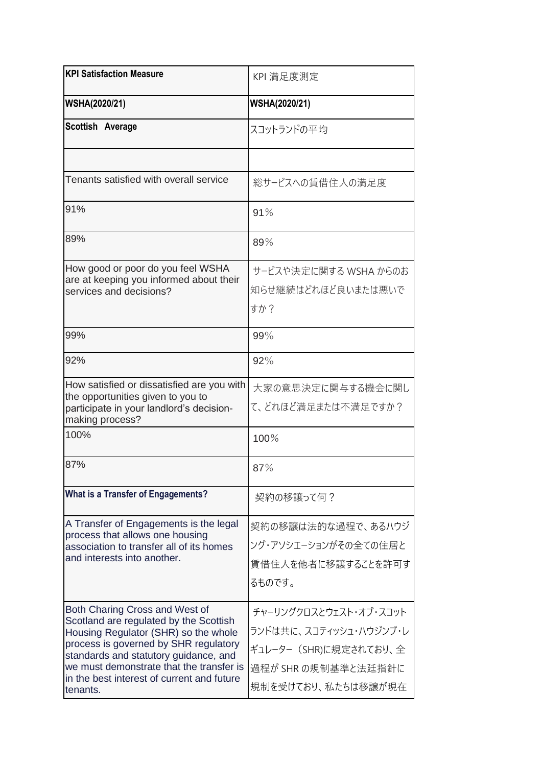| <b>KPI Satisfaction Measure</b>                                                                                                                                                                                                                                                                          | KPI 満足度測定                                                                                                               |
|----------------------------------------------------------------------------------------------------------------------------------------------------------------------------------------------------------------------------------------------------------------------------------------------------------|-------------------------------------------------------------------------------------------------------------------------|
| <b>WSHA(2020/21)</b>                                                                                                                                                                                                                                                                                     | <b>WSHA(2020/21)</b>                                                                                                    |
| Scottish Average                                                                                                                                                                                                                                                                                         | スコットランドの平均                                                                                                              |
|                                                                                                                                                                                                                                                                                                          |                                                                                                                         |
| Tenants satisfied with overall service                                                                                                                                                                                                                                                                   | 総サービスへの賃借住人の満足度                                                                                                         |
| 91%                                                                                                                                                                                                                                                                                                      | 91%                                                                                                                     |
| 89%                                                                                                                                                                                                                                                                                                      | 89%                                                                                                                     |
| How good or poor do you feel WSHA<br>are at keeping you informed about their<br>services and decisions?                                                                                                                                                                                                  | サービスや決定に関する WSHA からのお<br>知らせ継続はどれほど良いまたは悪いで<br>すか?                                                                      |
| 99%                                                                                                                                                                                                                                                                                                      | 99%                                                                                                                     |
| 92%                                                                                                                                                                                                                                                                                                      | 92%                                                                                                                     |
| How satisfied or dissatisfied are you with<br>the opportunities given to you to<br>participate in your landlord's decision-<br>making process?                                                                                                                                                           | 大家の意思決定に関与する機会に関し<br>て、どれほど満足または不満足ですか?                                                                                 |
| 100%                                                                                                                                                                                                                                                                                                     | 100%                                                                                                                    |
| 87%                                                                                                                                                                                                                                                                                                      | 87%                                                                                                                     |
| What is a Transfer of Engagements?                                                                                                                                                                                                                                                                       | 契約の移譲って何?                                                                                                               |
| A Transfer of Engagements is the legal<br>process that allows one housing<br>association to transfer all of its homes<br>and interests into another.                                                                                                                                                     | 契約の移譲は法的な過程で、あるハウジ<br>ング・アソシエーションがその全ての住居と<br>賃借住人を他者に移譲することを許可す<br>るものです。                                              |
| Both Charing Cross and West of<br>Scotland are regulated by the Scottish<br>Housing Regulator (SHR) so the whole<br>process is governed by SHR regulatory<br>standards and statutory guidance, and<br>we must demonstrate that the transfer is<br>in the best interest of current and future<br>tenants. | チャーリングクロスとウェスト・オブ・スコット<br>ランドは共に、スコティッシュ・ハウジンブ・レ<br>ギュレーター (SHR)に規定されており、全<br>過程が SHR の規制基準と法廷指針に<br>規制を受けており、私たちは移譲が現在 |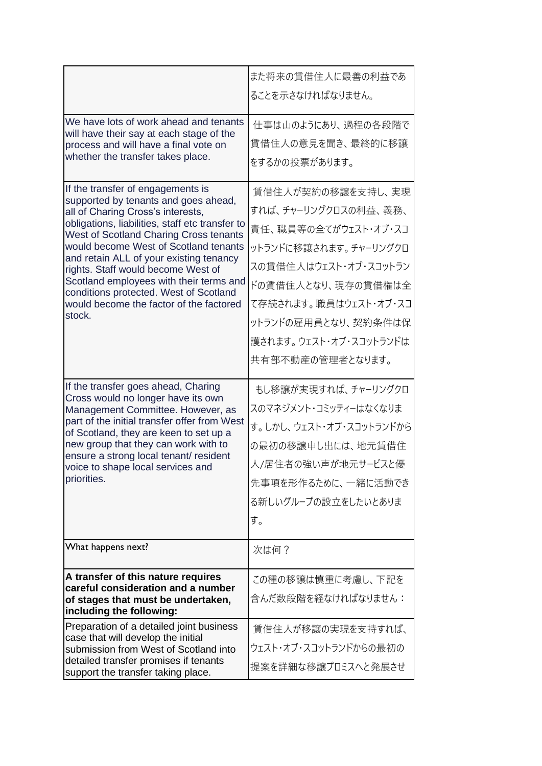|                                                                                                                             | また将来の賃借住人に最善の利益であ       |
|-----------------------------------------------------------------------------------------------------------------------------|-------------------------|
|                                                                                                                             | ることを示さなければなりません。        |
| We have lots of work ahead and tenants<br>will have their say at each stage of the                                          | 仕事は山のようにあり、過程の各段階で      |
| process and will have a final vote on                                                                                       | 賃借住人の意見を聞き、最終的に移譲       |
| whether the transfer takes place.                                                                                           | をするかの投票があります。           |
| If the transfer of engagements is<br>supported by tenants and goes ahead,                                                   | 賃借住人が契約の移譲を支持し、実現       |
| all of Charing Cross's interests,                                                                                           | すれば、チャーリングクロスの利益、義務、    |
| obligations, liabilities, staff etc transfer to<br>West of Scotland Charing Cross tenants                                   | 責任、職員等の全てがウェスト・オブ・スコ    |
| would become West of Scotland tenants                                                                                       | ットランドに移譲されます。 チャーリングクロ  |
| and retain ALL of your existing tenancy<br>rights. Staff would become West of                                               | スの賃借住人はウェスト・オブ・スコットラン   |
| Scotland employees with their terms and<br>conditions protected. West of Scotland                                           | ドの賃借住人となり、現存の賃借権は全      |
| would become the factor of the factored                                                                                     | て存続されます。 職員はウェスト・オブ・スコ  |
| stock.                                                                                                                      | ットランドの雇用員となり、契約条件は保     |
|                                                                                                                             | 護されます。ウェスト・オブ・スコットランドは  |
|                                                                                                                             | 共有部不動産の管理者となります。        |
| If the transfer goes ahead, Charing<br>Cross would no longer have its own                                                   | もし移譲が実現すれば、チャーリングクロ     |
| Management Committee. However, as<br>part of the initial transfer offer from West<br>of Scotland, they are keen to set up a | スのマネジメント・コミッティーはなくなりま   |
|                                                                                                                             | す。しかし、ウェスト・オブ・スコットランドから |
| new group that they can work with to<br>ensure a strong local tenant/ resident                                              | の最初の移譲申し出には、地元賃借住       |
| voice to shape local services and                                                                                           | 人/居住者の強い声が地元サービスと優      |
| priorities.                                                                                                                 | 先事項を形作るために、一緒に活動でき      |
|                                                                                                                             | る新しいグループの設立をしたいとありま     |
|                                                                                                                             | す。                      |
| What happens next?                                                                                                          | 次は何?                    |
| A transfer of this nature requires<br>careful consideration and a number                                                    | この種の移譲は慎重に考慮し、下記を       |
| of stages that must be undertaken,<br>including the following:                                                              | 含んだ数段階を経なければなりません:      |
| Preparation of a detailed joint business<br>case that will develop the initial                                              | 賃借住人が移譲の実現を支持すれば、       |
| submission from West of Scotland into                                                                                       | ウェスト・オブ・スコットランドからの最初の   |
| detailed transfer promises if tenants<br>support the transfer taking place.                                                 | 提案を詳細な移譲プロミスへと発展させ      |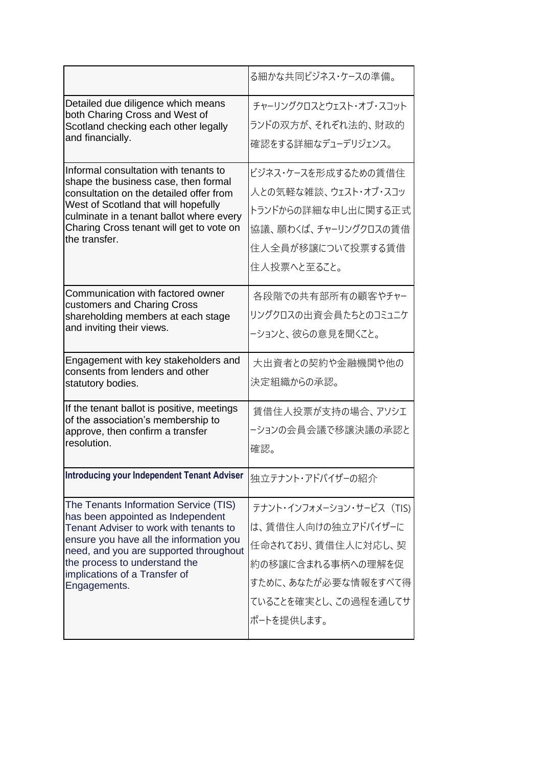|                                                                                                                                                                                                                                                                                             | る細かな共同ビジネス・ケースの準備。                                                                                                                                      |
|---------------------------------------------------------------------------------------------------------------------------------------------------------------------------------------------------------------------------------------------------------------------------------------------|---------------------------------------------------------------------------------------------------------------------------------------------------------|
| Detailed due diligence which means<br>both Charing Cross and West of<br>Scotland checking each other legally<br>and financially.<br>Informal consultation with tenants to<br>shape the business case, then formal                                                                           | チャーリングクロスとウェスト・オブ・スコット<br>ランドの双方が、それぞれ法的、財政的<br>確認をする詳細なデューデリジェンス。<br>ビジネス・ケースを形成するための賃借住                                                               |
| consultation on the detailed offer from<br>West of Scotland that will hopefully<br>culminate in a tenant ballot where every<br>Charing Cross tenant will get to vote on<br>the transfer.                                                                                                    | 人との気軽な雑談、ウェスト・オブ・スコッ<br>トランドからの詳細な申し出に関する正式<br>協議、願わくば、チャーリングクロスの賃借<br>住人全員が移譲について投票する賃借<br>住人投票へと至ること。                                                 |
| Communication with factored owner<br>customers and Charing Cross<br>shareholding members at each stage<br>and inviting their views.                                                                                                                                                         | 各段階での共有部所有の顧客やチャー<br>リングクロスの出資会員たちとのコミュニケ<br>ーションと、彼らの意見を聞くこと。                                                                                          |
| Engagement with key stakeholders and<br>consents from lenders and other<br>statutory bodies.                                                                                                                                                                                                | 大出資者との契約や金融機関や他の<br>決定組織からの承認。                                                                                                                          |
| If the tenant ballot is positive, meetings<br>of the association's membership to<br>approve, then confirm a transfer<br>resolution.                                                                                                                                                         | 賃借住人投票が支持の場合、アソシエ<br>ーションの会員会議で移譲決議の承認と<br>確認。                                                                                                          |
| <b>Introducing your Independent Tenant Adviser</b>                                                                                                                                                                                                                                          | 独立テナント・アドバイザーの紹介                                                                                                                                        |
| The Tenants Information Service (TIS)<br>has been appointed as Independent<br>Tenant Adviser to work with tenants to<br>ensure you have all the information you<br>need, and you are supported throughout<br>the process to understand the<br>implications of a Transfer of<br>Engagements. | テナント・インフォメーション・サービス (TIS)<br>は、賃借住人向けの独立アドバイザーに<br>任命されており、賃借住人に対応し、契<br>約の移譲に含まれる事柄への理解を促<br>すために、あなたが必要な情報をすべて得<br>ていることを確実とし、この過程を通してサ<br>ポートを提供します。 |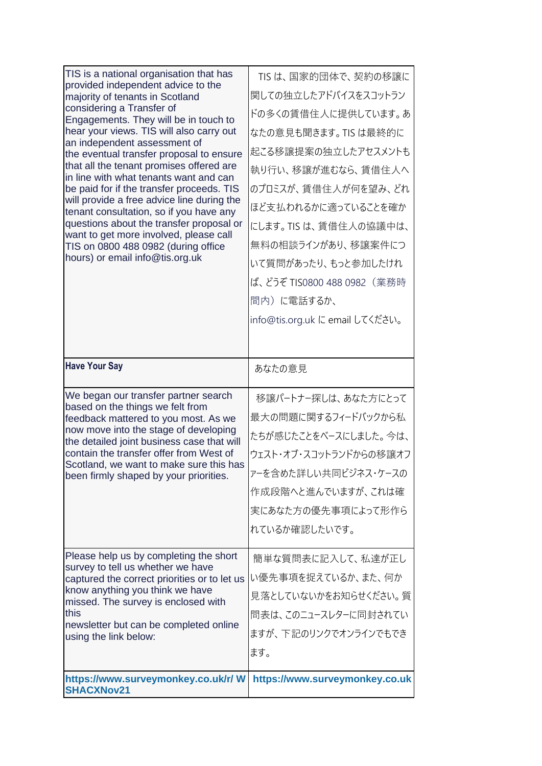| TIS is a national organisation that has<br>provided independent advice to the<br>majority of tenants in Scotland<br>considering a Transfer of<br>Engagements. They will be in touch to<br>hear your views. TIS will also carry out<br>an independent assessment of<br>the eventual transfer proposal to ensure<br>that all the tenant promises offered are<br>in line with what tenants want and can<br>be paid for if the transfer proceeds. TIS<br>will provide a free advice line during the<br>tenant consultation, so if you have any<br>questions about the transfer proposal or<br>want to get more involved, please call<br>TIS on 0800 488 0982 (during office<br>hours) or email info@tis.org.uk | TIS は、国家的団体で、契約の移譲に<br>関しての独立したアドバイスをスコットラン<br>ドの多くの賃借住人に提供しています。あ<br>なたの意見も聞きます。TIS は最終的に<br>起こる移譲提案の独立したアセスメントも<br>執り行い、移譲が進むなら、賃借住人へ<br>のプロミスが、賃借住人が何を望み、どれ<br>ほど支払われるかに適っていることを確か<br>にします。TIS は、賃借住人の協議中は、<br>無料の相談ラインがあり、移譲案件につ<br>いて質問があったり、もっと参加したけれ<br>ば、どうぞ TIS0800 488 0982(業務時<br>間内)に電話するか、<br>info@tis.org.uk に email してください。 |
|------------------------------------------------------------------------------------------------------------------------------------------------------------------------------------------------------------------------------------------------------------------------------------------------------------------------------------------------------------------------------------------------------------------------------------------------------------------------------------------------------------------------------------------------------------------------------------------------------------------------------------------------------------------------------------------------------------|--------------------------------------------------------------------------------------------------------------------------------------------------------------------------------------------------------------------------------------------------------------------------------------------------------------------------------------------|
| <b>Have Your Say</b>                                                                                                                                                                                                                                                                                                                                                                                                                                                                                                                                                                                                                                                                                       | あなたの意見                                                                                                                                                                                                                                                                                                                                     |
| We began our transfer partner search<br>based on the things we felt from<br>feedback mattered to you most. As we<br>now move into the stage of developing<br>the detailed joint business case that will<br>contain the transfer offer from West of<br>Scotland, we want to make sure this has<br>been firmly shaped by your priorities.                                                                                                                                                                                                                                                                                                                                                                    | 移譲パートナー探しは、あなた方にとって<br>最大の問題に関するフィードバックから私<br>たちが感じたことをベースにしました。今は、<br>ウェスト・オブ・スコットランドからの移譲オフ<br>アーを含めた詳しい共同ビジネス・ケースの<br>作成段階へと進んでいますが、これは確<br>実にあなた方の優先事項によって形作ら<br>れているか確認したいです。                                                                                                                                                         |
| Please help us by completing the short<br>survey to tell us whether we have<br>captured the correct priorities or to let us<br>know anything you think we have<br>missed. The survey is enclosed with<br>this<br>newsletter but can be completed online<br>using the link below:                                                                                                                                                                                                                                                                                                                                                                                                                           | 簡単な質問表に記入して、私達が正し<br>い優先事項を捉えているか、また、何か<br>見落としていないかをお知らせください。質<br>問表は、このニュースレターに同封されてい<br>ますが、下記のリンクでオンラインでもでき<br>ます。                                                                                                                                                                                                                     |
| https://www.surveymonkey.co.uk/r/W<br><b>SHACXNov21</b>                                                                                                                                                                                                                                                                                                                                                                                                                                                                                                                                                                                                                                                    | https://www.surveymonkey.co.uk                                                                                                                                                                                                                                                                                                             |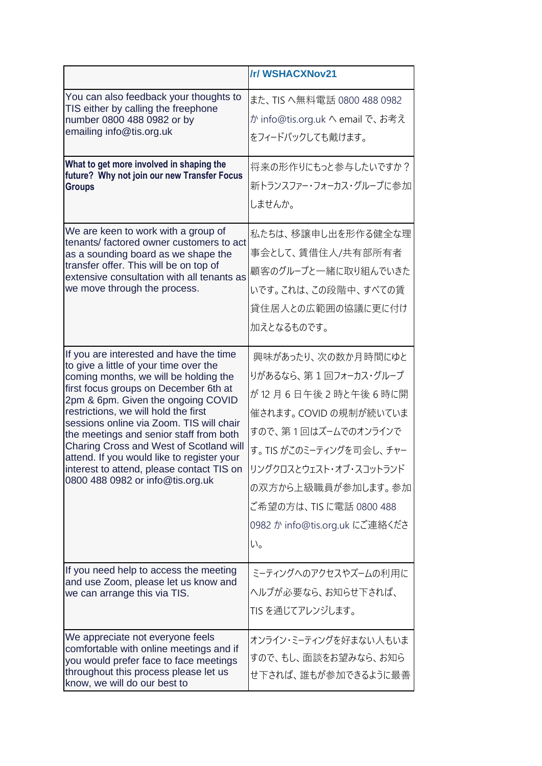|                                                                                                                                                                                                                                                                                                                                                                                                                                                                                                                    | /r/ WSHACXNov21                                                                                                                                                                                                                                                  |
|--------------------------------------------------------------------------------------------------------------------------------------------------------------------------------------------------------------------------------------------------------------------------------------------------------------------------------------------------------------------------------------------------------------------------------------------------------------------------------------------------------------------|------------------------------------------------------------------------------------------------------------------------------------------------------------------------------------------------------------------------------------------------------------------|
| You can also feedback your thoughts to<br>TIS either by calling the freephone<br>number 0800 488 0982 or by<br>emailing info@tis.org.uk                                                                                                                                                                                                                                                                                                                                                                            | また、TIS へ無料電話 0800 488 0982<br>か info@tis.org.uk へ email で、お考え<br>をフィードバックしても戴けます。                                                                                                                                                                                |
| What to get more involved in shaping the<br>future? Why not join our new Transfer Focus<br><b>Groups</b>                                                                                                                                                                                                                                                                                                                                                                                                           | 将来の形作りにもっと参与したいですか?<br>新トランスファー・フォーカス・グループに参加<br>しませんか。                                                                                                                                                                                                          |
| We are keen to work with a group of<br>tenants/factored owner customers to act<br>as a sounding board as we shape the<br>transfer offer. This will be on top of<br>extensive consultation with all tenants as<br>we move through the process.                                                                                                                                                                                                                                                                      | 私たちは、移譲申し出を形作る健全な理<br>事会として、賃借住人/共有部所有者<br>顧客のグループと一緒に取り組んでいきた<br>いです。これは、この段階中、すべての賃<br>貸住居人との広範囲の協議に更に付け<br>加えとなるものです。                                                                                                                                         |
| If you are interested and have the time<br>to give a little of your time over the<br>coming months, we will be holding the<br>first focus groups on December 6th at<br>2pm & 6pm. Given the ongoing COVID<br>restrictions, we will hold the first<br>sessions online via Zoom. TIS will chair<br>the meetings and senior staff from both<br>Charing Cross and West of Scotland will<br>attend. If you would like to register your<br>interest to attend, please contact TIS on<br>0800 488 0982 or info@tis.org.uk | 興味があったり、次の数か月時間にゆと<br>りがあるなら、 第1回フォーカス・グループ<br>が12月6日午後2時と午後6時に開<br>催されます。COVID の規制が続いていま<br>すので、第1回はズームでのオンラインで<br>す。 TIS がこのミーティングを司会し、 チャー<br>リングクロスとウェスト・オブ・スコットランド<br>の双方から上級職員が参加します。参加<br>ご希望の方は、TIS に電話 0800 488<br>0982 か info@tis.org.uk にご連絡くださ<br>い。 |
| If you need help to access the meeting<br>and use Zoom, please let us know and<br>we can arrange this via TIS.                                                                                                                                                                                                                                                                                                                                                                                                     | ミーティングへのアクセスやズームの利用に<br>ヘルプが必要なら、お知らせ下されば、<br>TIS を通じてアレンジします。                                                                                                                                                                                                   |
| We appreciate not everyone feels<br>comfortable with online meetings and if<br>you would prefer face to face meetings<br>throughout this process please let us<br>know, we will do our best to                                                                                                                                                                                                                                                                                                                     | オンライン・ミーティングを好まない人もいま<br>すので、もし、面談をお望みなら、お知ら<br>せ下されば、誰もが参加できるように最善                                                                                                                                                                                              |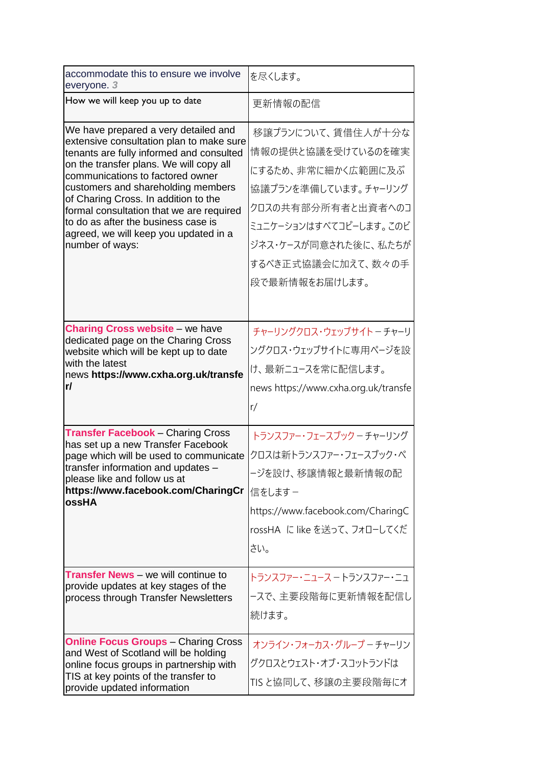| accommodate this to ensure we involve<br>everyone. 3                                                                                                                                                                                                                                                                                                                                                                                     | を尽くします。                                                                                                                                                                                                |
|------------------------------------------------------------------------------------------------------------------------------------------------------------------------------------------------------------------------------------------------------------------------------------------------------------------------------------------------------------------------------------------------------------------------------------------|--------------------------------------------------------------------------------------------------------------------------------------------------------------------------------------------------------|
| How we will keep you up to date                                                                                                                                                                                                                                                                                                                                                                                                          | 更新情報の配信                                                                                                                                                                                                |
| We have prepared a very detailed and<br>extensive consultation plan to make sure<br>tenants are fully informed and consulted<br>on the transfer plans. We will copy all<br>communications to factored owner<br>customers and shareholding members<br>of Charing Cross. In addition to the<br>formal consultation that we are required<br>to do as after the business case is<br>agreed, we will keep you updated in a<br>number of ways: | 移譲プランについて、賃借住人が十分な<br>情報の提供と協議を受けているのを確実<br>にするため、非常に細かく広範囲に及ぶ<br>協議プランを準備しています。チャーリング<br>クロスの共有部分所有者と出資者へのコ<br>ミュニケーションはすべてコピーします。このビ<br>ジネス・ケースが同意された後に、私たちが<br>するべき正式協議会に加えて、数々の手<br>段で最新情報をお届けします。 |
| <b>Charing Cross website - we have</b><br>dedicated page on the Charing Cross<br>website which will be kept up to date<br>with the latest<br>news https://www.cxha.org.uk/transfe<br>r/                                                                                                                                                                                                                                                  | チャーリングクロス・ウェッブサイト - チャーリ<br>ングクロス・ウェッブサイトに専用ページを設<br>け、最新ニュースを常に配信します。<br>news https://www.cxha.org.uk/transfe<br>r/                                                                                   |
| <b>Transfer Facebook - Charing Cross</b><br>has set up a new Transfer Facebook<br>page which will be used to communicate<br>transfer information and updates -<br>please like and follow us at<br>https://www.facebook.com/CharingCr<br>ossHA                                                                                                                                                                                            | トランスファー・フェースブック – チャーリング<br>クロスは新トランスファー・フェースブック・ペ<br>ジを設け、移譲情報と最新情報の配<br>信をします –<br>https://www.facebook.com/CharingC<br>rossHA に like を送って、フォローしてくだ<br>さい。                                           |
| <b>Transfer News</b> - we will continue to<br>provide updates at key stages of the<br>process through Transfer Newsletters                                                                                                                                                                                                                                                                                                               | トランスファー・ニュース ー トランスファー・ニュ<br>-スで、主要段階毎に更新情報を配信し<br>続けます。                                                                                                                                               |
| <b>Online Focus Groups - Charing Cross</b><br>and West of Scotland will be holding<br>online focus groups in partnership with<br>TIS at key points of the transfer to<br>provide updated information                                                                                                                                                                                                                                     | オンライン・フォーカス・グループーチャーリン<br>グクロスとウェスト・オブ・スコットランドは<br>TISと協同して、移譲の主要段階毎にオ                                                                                                                                 |